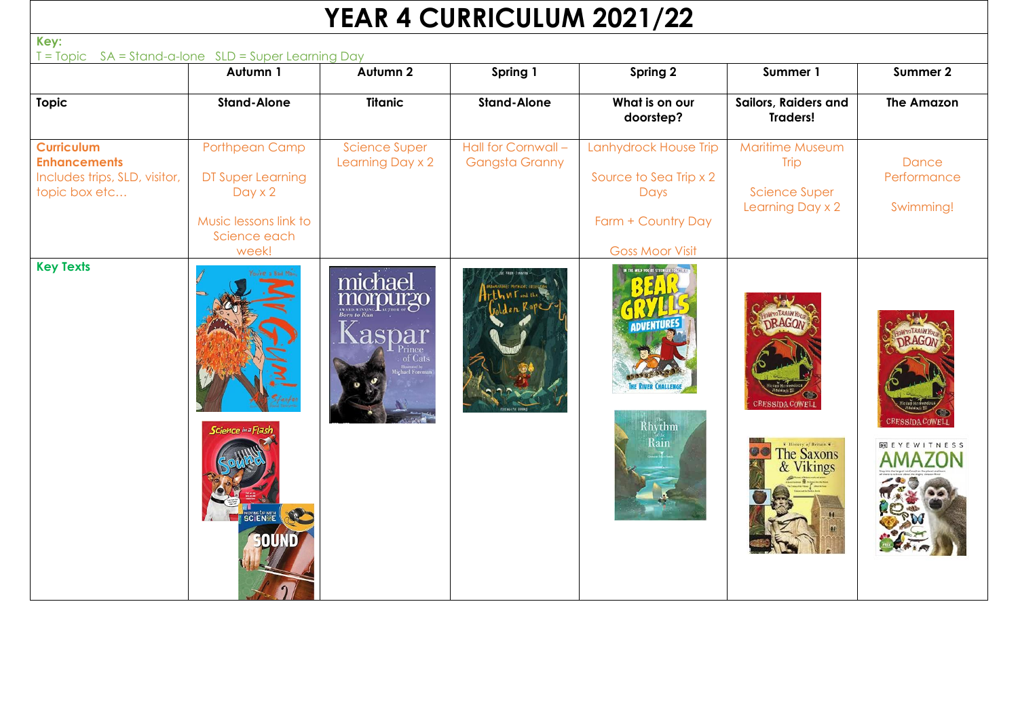## **YEAR 4 CURRICULUM 2021/22**

| Key:<br>T = Topic SA = Stand-a-lone SLD = Super Learning Day                               |                                                                                                         |                                          |                                              |                                                                                                         |                                                                                   |                                               |
|--------------------------------------------------------------------------------------------|---------------------------------------------------------------------------------------------------------|------------------------------------------|----------------------------------------------|---------------------------------------------------------------------------------------------------------|-----------------------------------------------------------------------------------|-----------------------------------------------|
|                                                                                            | Autumn 1                                                                                                | Autumn 2                                 | Spring 1                                     | Spring 2                                                                                                | Summer 1                                                                          | Summer 2                                      |
| <b>Topic</b>                                                                               | <b>Stand-Alone</b>                                                                                      | <b>Titanic</b>                           | <b>Stand-Alone</b>                           | What is on our<br>doorstep?                                                                             | Sailors, Raiders and<br><b>Traders!</b>                                           | <b>The Amazon</b>                             |
| <b>Curriculum</b><br><b>Enhancements</b><br>Includes trips, SLD, visitor,<br>topic box etc | Porthpean Camp<br>DT Super Learning<br>$Day \times 2$<br>Music lessons link to<br>Science each<br>week! | <b>Science Super</b><br>Learning Day x 2 | Hall for Cornwall -<br><b>Gangsta Granny</b> | Lanhydrock House Trip<br>Source to Sea Trip x 2<br>Days<br>Farm + Country Day<br><b>Goss Moor Visit</b> | <b>Maritime Museum</b><br><b>Trip</b><br><b>Science Super</b><br>Learning Day x 2 | <b>Dance</b><br>Performance<br>Swimming!      |
| <b>Key Texts</b>                                                                           | Science in a Flash                                                                                      | michael<br>Kaspar                        |                                              | <b>DVETUR</b><br>Rhythm<br>Rain                                                                         | <b>RESSIDA COWELL</b><br>The Saxons<br>& Vikings                                  | <b>ERESSIDA COWEL</b><br><b>DK EYEWITNESS</b> |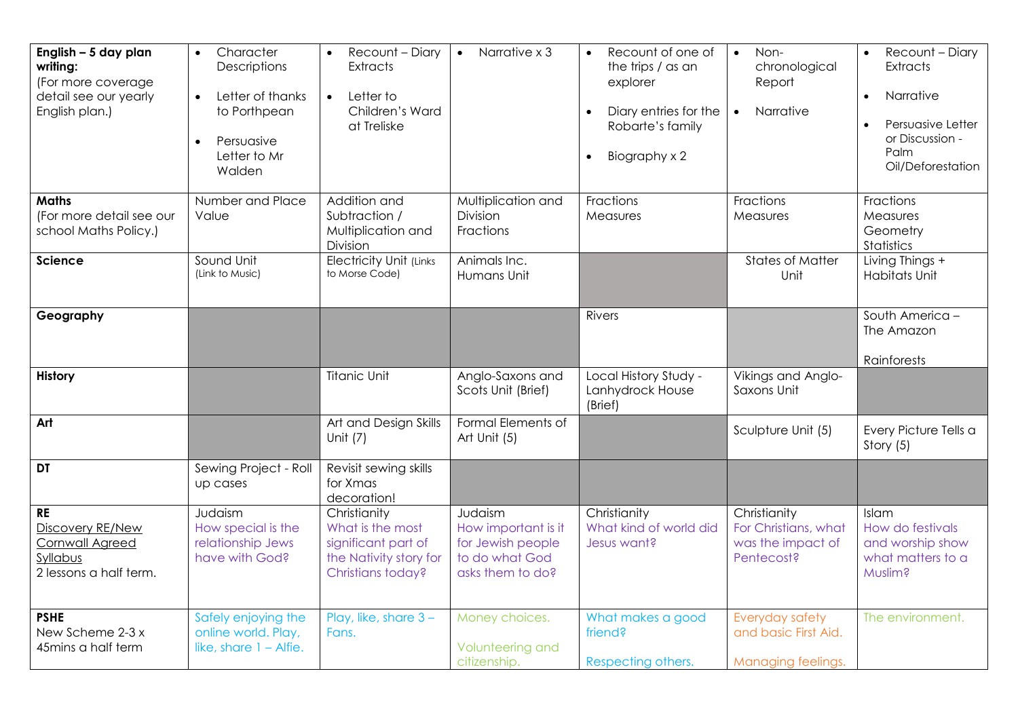| English - 5 day plan<br>writing:<br>(For more coverage<br>detail see our yearly<br>English plan.) | Character<br>$\bullet$<br>Descriptions<br>Letter of thanks<br>$\bullet$<br>to Porthpean<br>Persuasive<br>Letter to Mr<br>Walden | Recount - Diary<br><b>Extracts</b><br>Letter to<br>$\bullet$<br>Children's Ward<br>at Treliske         | Narrative x 3<br>$\bullet$                                                                | Recount of one of<br>the trips / as an<br>explorer<br>Diary entries for the<br>Robarte's family<br>Biography x 2<br>$\bullet$ | Non-<br>$\bullet$<br>chronological<br>Report<br>Narrative<br>$\bullet$  | Recount - Diary<br>$\bullet$<br><b>Extracts</b><br>Narrative<br>$\bullet$<br>Persuasive Letter<br>or Discussion -<br>Palm<br>Oil/Deforestation |
|---------------------------------------------------------------------------------------------------|---------------------------------------------------------------------------------------------------------------------------------|--------------------------------------------------------------------------------------------------------|-------------------------------------------------------------------------------------------|-------------------------------------------------------------------------------------------------------------------------------|-------------------------------------------------------------------------|------------------------------------------------------------------------------------------------------------------------------------------------|
| <b>Maths</b><br>(For more detail see our<br>school Maths Policy.)                                 | Number and Place<br>Value                                                                                                       | Addition and<br>Subtraction /<br>Multiplication and<br>Division                                        | Multiplication and<br>Division<br>Fractions                                               | Fractions<br>Measures                                                                                                         | Fractions<br>Measures                                                   | Fractions<br>Measures<br>Geometry<br>Statistics                                                                                                |
| <b>Science</b>                                                                                    | Sound Unit<br>(Link to Music)                                                                                                   | <b>Electricity Unit (Links</b><br>to Morse Code)                                                       | Animals Inc.<br>Humans Unit                                                               |                                                                                                                               | <b>States of Matter</b><br>Unit                                         | Living Things +<br><b>Habitats Unit</b>                                                                                                        |
| Geography                                                                                         |                                                                                                                                 |                                                                                                        |                                                                                           | <b>Rivers</b>                                                                                                                 |                                                                         | South America -<br>The Amazon<br>Rainforests                                                                                                   |
| <b>History</b>                                                                                    |                                                                                                                                 | <b>Titanic Unit</b>                                                                                    | Anglo-Saxons and<br>Scots Unit (Brief)                                                    | Local History Study -<br>Lanhydrock House<br>(Brief)                                                                          | Vikings and Anglo-<br>Saxons Unit                                       |                                                                                                                                                |
| Art                                                                                               |                                                                                                                                 | Art and Design Skills<br>Unit $(7)$                                                                    | Formal Elements of<br>Art Unit (5)                                                        |                                                                                                                               | Sculpture Unit (5)                                                      | Every Picture Tells a<br>Story (5)                                                                                                             |
| <b>DT</b>                                                                                         | Sewing Project - Roll<br>up cases                                                                                               | Revisit sewing skills<br>for Xmas<br>decoration!                                                       |                                                                                           |                                                                                                                               |                                                                         |                                                                                                                                                |
| <b>RE</b><br>Discovery RE/New<br>Cornwall Agreed<br>Syllabus<br>2 lessons a half term.            | Judaism<br>How special is the<br>relationship Jews<br>have with God?                                                            | Christianity<br>What is the most<br>significant part of<br>the Nativity story for<br>Christians today? | Judaism<br>How important is it<br>for Jewish people<br>to do what God<br>asks them to do? | Christianity<br>What kind of world did<br>Jesus want?                                                                         | Christianity<br>For Christians, what<br>was the impact of<br>Pentecost? | Islam<br>How do festivals<br>and worship show<br>what matters to a<br>Muslim?                                                                  |
| <b>PSHE</b><br>New Scheme 2-3 x<br>45mins a half term                                             | Safely enjoying the<br>online world. Play,<br>like, share $1 -$ Alfie.                                                          | Play, like, share 3-<br>Fans.                                                                          | Money choices.<br>Volunteering and<br>citizenship.                                        | What makes a good<br>friend?<br>Respecting others.                                                                            | Everyday safety<br>and basic First Aid.<br>Managing feelings.           | The environment.                                                                                                                               |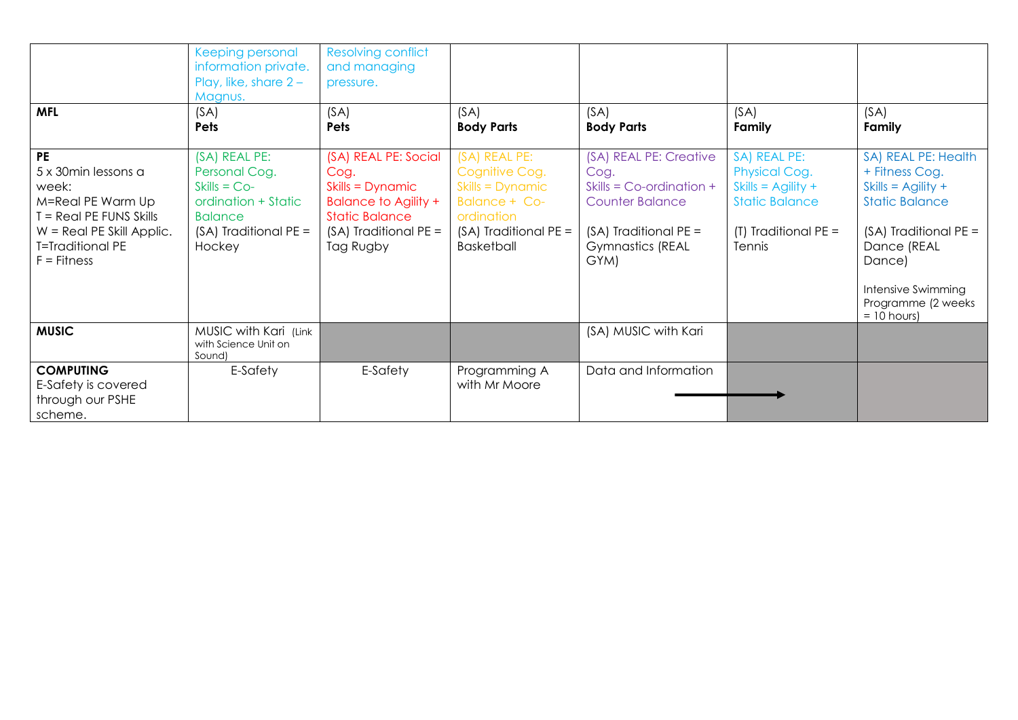| <b>MFL</b>                                                                                                                                                           | Keeping personal<br>information private.<br>Play, like, share $2 -$<br>Magnus.<br>(SA)<br>Pets                                 | <b>Resolving conflict</b><br>and managing<br>pressure.<br>(SA)<br>Pets                                                                         | (SA)<br><b>Body Parts</b>                                                                                                   | (SA)<br><b>Body Parts</b>                                                                                                                           | (SA)<br>Family                                                                                                                   | (SA)<br>Family                                                                                                                                                                                              |
|----------------------------------------------------------------------------------------------------------------------------------------------------------------------|--------------------------------------------------------------------------------------------------------------------------------|------------------------------------------------------------------------------------------------------------------------------------------------|-----------------------------------------------------------------------------------------------------------------------------|-----------------------------------------------------------------------------------------------------------------------------------------------------|----------------------------------------------------------------------------------------------------------------------------------|-------------------------------------------------------------------------------------------------------------------------------------------------------------------------------------------------------------|
| <b>PE</b><br>5 x 30min lessons a<br>week:<br>M=Real PE Warm Up<br>T = Real PE FUNS Skills<br>$W =$ Real PE Skill Applic.<br><b>T=Traditional PE</b><br>$F =$ Fitness | (SA) REAL PE:<br>Personal Cog.<br>$Skills = Co-$<br>ordination + Static<br><b>Balance</b><br>$(SA)$ Traditional PE =<br>Hockey | (SA) REAL PE: Social<br>Cog.<br>Skills = Dynamic<br><b>Balance to Agility +</b><br><b>Static Balance</b><br>(SA) Traditional PE =<br>Tag Rugby | (SA) REAL PE:<br>Cognitive Cog.<br>Skills = Dynamic<br>Balance + Co-<br>ordination<br>$(SA)$ Traditional PE =<br>Basketball | (SA) REAL PE: Creative<br>Cog.<br>Skills = $Co$ -ordination +<br><b>Counter Balance</b><br>(SA) Traditional PE =<br><b>Gymnastics (REAL</b><br>GYM) | SA) REAL PE:<br><b>Physical Cog.</b><br>Skills = $\text{Agility} +$<br><b>Static Balance</b><br>(T) Traditional $PE =$<br>Tennis | SA) REAL PE: Health<br>+ Fitness Cog.<br>Skills = $\Delta$ gility +<br><b>Static Balance</b><br>(SA) Traditional PE =<br>Dance (REAL<br>Dance)<br>Intensive Swimming<br>Programme (2 weeks<br>$= 10$ hours) |
| <b>MUSIC</b>                                                                                                                                                         | MUSIC with Kari (Link<br>with Science Unit on<br>Sound)                                                                        |                                                                                                                                                |                                                                                                                             | (SA) MUSIC with Kari                                                                                                                                |                                                                                                                                  |                                                                                                                                                                                                             |
| <b>COMPUTING</b><br>E-Safety is covered<br>through our PSHE<br>scheme.                                                                                               | E-Safety                                                                                                                       | E-Safety                                                                                                                                       | Programming A<br>with Mr Moore                                                                                              | Data and Information                                                                                                                                |                                                                                                                                  |                                                                                                                                                                                                             |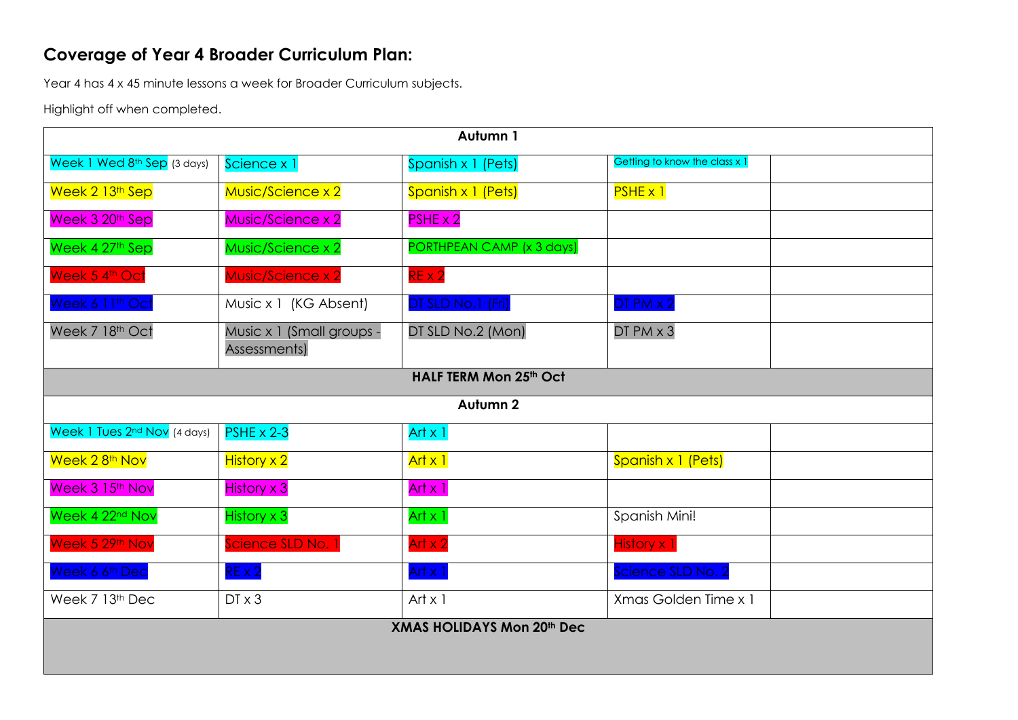## **Coverage of Year 4 Broader Curriculum Plan:**

Year 4 has 4 x 45 minute lessons a week for Broader Curriculum subjects.

Highlight off when completed.

| Autumn 1                          |                                           |                           |                               |  |  |  |  |  |
|-----------------------------------|-------------------------------------------|---------------------------|-------------------------------|--|--|--|--|--|
| Week 1 Wed 8th Sep (3 days)       | Science x 1                               | Spanish x 1 (Pets)        | Getting to know the class x 1 |  |  |  |  |  |
| Week 2 13th Sep                   | Music/Science x 2                         | Spanish x 1 (Pets)        | $PSHE \times 1$               |  |  |  |  |  |
| Week 3 20 <sup>th</sup> Sep       | Music/Science x 2                         | $PSHE \times 2$           |                               |  |  |  |  |  |
| Week 4 27th Sep                   | Music/Science x 2                         | PORTHPEAN CAMP (x 3 days) |                               |  |  |  |  |  |
| Week 5 4th Oct                    | Music/Science x 2                         | $RE \times 2$             |                               |  |  |  |  |  |
| Week 6 11 <sup>th</sup> Oct       | Music x 1 (KG Absent)                     | DT SLD No.1 (Fri)         | $DTPM \times 2$               |  |  |  |  |  |
| Week 7 18th Oct                   | Music x 1 (Small groups -<br>Assessments) | DT SLD No.2 (Mon)         | DT PM x 3                     |  |  |  |  |  |
|                                   |                                           | HALF TERM Mon 25th Oct    |                               |  |  |  |  |  |
|                                   |                                           | Autumn <sub>2</sub>       |                               |  |  |  |  |  |
| Week 1 Tues 2nd Nov (4 days)      | $PSHE \times 2-3$                         | Art $x$ 1                 |                               |  |  |  |  |  |
| Week 2 8 <sup>th</sup> Nov        | <b>History x 2</b>                        | Art x 1                   | Spanish x 1 (Pets)            |  |  |  |  |  |
| Week 3 15th Nov                   | <b>History x 3</b>                        | Art $x$ 1                 |                               |  |  |  |  |  |
| Week 4 22 <sup>nd</sup> Nov       | <b>History x 3</b>                        | Art $x$ 1                 | Spanish Mini!                 |  |  |  |  |  |
| Week 5 29th Nov                   | Science SLD No. 1                         | Art $x$ 2                 | <b>History x 1</b>            |  |  |  |  |  |
| Week 6 6 <sup>th</sup> Dec        | $RE \times 2$                             | Art $x$ 1                 | Science SLD No. 2             |  |  |  |  |  |
| Week 7 13th Dec                   | $DT \times 3$                             | Art $x$ 1                 | Xmas Golden Time x 1          |  |  |  |  |  |
| <b>XMAS HOLIDAYS Mon 20th Dec</b> |                                           |                           |                               |  |  |  |  |  |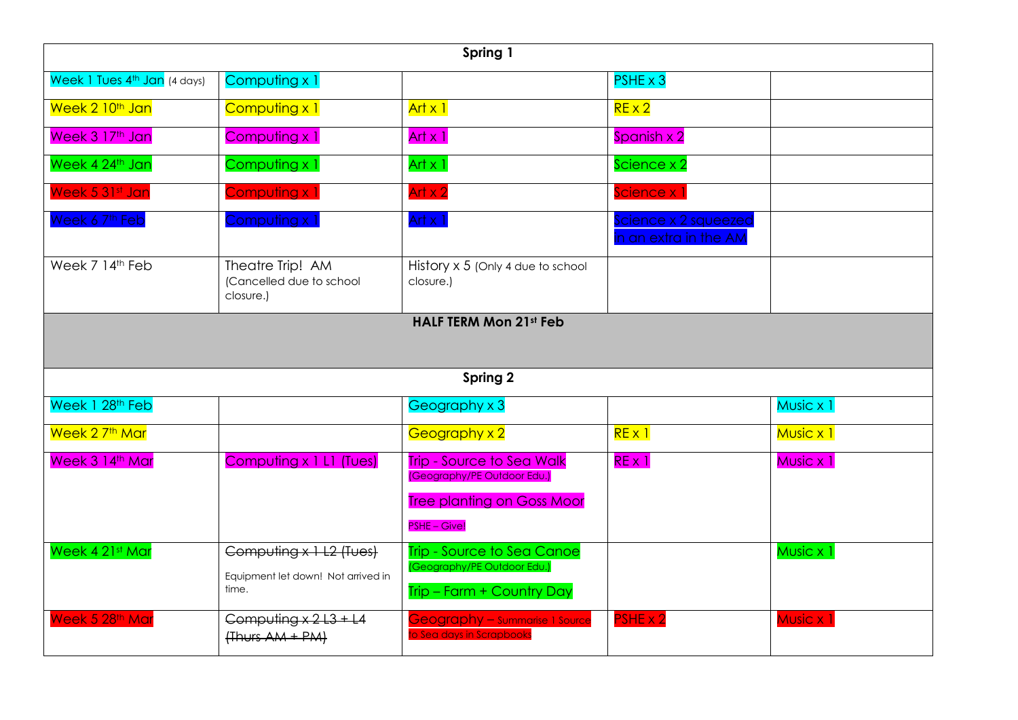| Spring 1                                 |                                                                        |                                                                                               |                                               |                      |  |  |  |  |  |
|------------------------------------------|------------------------------------------------------------------------|-----------------------------------------------------------------------------------------------|-----------------------------------------------|----------------------|--|--|--|--|--|
| Week 1 Tues 4 <sup>th</sup> Jan (4 days) | Computing x 1                                                          |                                                                                               | $PSHE \times 3$                               |                      |  |  |  |  |  |
| Week 2 10 <sup>th</sup> Jan              | Computing x 1                                                          | $Art \times 1$                                                                                | $RE \times 2$                                 |                      |  |  |  |  |  |
| Week 3 17th Jan                          | Computing x 1                                                          | Art $x$ 1                                                                                     | Spanish x 2                                   |                      |  |  |  |  |  |
| Week 4 24th Jan                          | Computing x 1                                                          | Art $x$ 1                                                                                     | Science x 2                                   |                      |  |  |  |  |  |
| Week 5 31st Jan                          | Computing x 1                                                          | Art $x$ 2                                                                                     | Science x 1                                   |                      |  |  |  |  |  |
| Week 6 7th Feb                           | Computing x 1                                                          | Art $x$ 1                                                                                     | Science x 2 squeezed<br>in an extra in the AM |                      |  |  |  |  |  |
| Week 7 14th Feb                          | Theatre Trip! AM<br>(Cancelled due to school<br>closure.)              | History x 5 (Only 4 due to school<br>closure.)                                                |                                               |                      |  |  |  |  |  |
|                                          | <b>HALF TERM Mon 21st Feb</b><br>Spring 2                              |                                                                                               |                                               |                      |  |  |  |  |  |
| Week 1 28th Feb                          |                                                                        | Geography x 3                                                                                 |                                               | Music x 1            |  |  |  |  |  |
| Week 2 7 <sup>th</sup> Mar               |                                                                        | Geography x 2                                                                                 | REX1                                          | Music x 1            |  |  |  |  |  |
| Week 3 14th Mar                          | Computing x 1 L1 (Tues)                                                | <b>Trip - Source to Sea Walk</b><br>(Geography/PE Outdoor Edu.)                               | $RE \times 1$                                 | Music x 1            |  |  |  |  |  |
|                                          |                                                                        | <b>Tree planting on Goss Moor</b><br>PSHE - Give!                                             |                                               |                      |  |  |  |  |  |
| Week 4 21st Mar                          | Computing x 1 L2 (Tues)<br>Equipment let down! Not arrived in<br>time. | <b>Trip - Source to Sea Canoe</b><br>(Geography/PE Outdoor Edu.)<br>Trip - Farm + Country Day |                                               | Music x 1            |  |  |  |  |  |
| Week 5 28th Mar                          | Computing $x + 2 + 3 + 14$<br>$\{Thus AM + PM\}$                       | Geography - Summarise 1 Source<br>o Sea days in Scrapbooks                                    | PSHE x 2                                      | Music x <sup>1</sup> |  |  |  |  |  |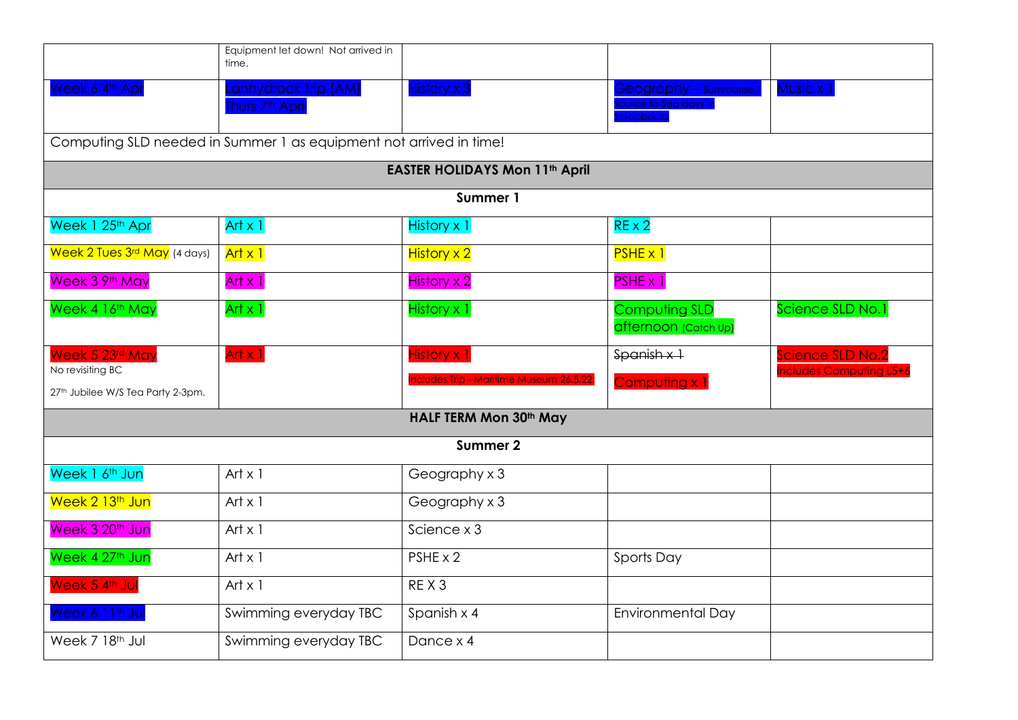|                                                                    | Equipment let down! Not arrived in<br>time.               |                                         |                                                                   |                                                    |  |  |  |  |  |  |
|--------------------------------------------------------------------|-----------------------------------------------------------|-----------------------------------------|-------------------------------------------------------------------|----------------------------------------------------|--|--|--|--|--|--|
| Week 6 4th Apr                                                     | <b>Annydrock Trip (AM)</b><br>Thurs 7 <sup>th</sup> April | <b>History x 3</b>                      | <b>Geography – summarise</b><br>ource to Sea days ir<br>crapbooks | Music x                                            |  |  |  |  |  |  |
| Computing SLD needed in Summer 1 as equipment not arrived in time! |                                                           |                                         |                                                                   |                                                    |  |  |  |  |  |  |
| <b>EASTER HOLIDAYS Mon 11th April</b>                              |                                                           |                                         |                                                                   |                                                    |  |  |  |  |  |  |
|                                                                    |                                                           | Summer 1                                |                                                                   |                                                    |  |  |  |  |  |  |
| Week 1 25th Apr                                                    | Art $x$ 1                                                 | History x 1                             | $RE \times 2$                                                     |                                                    |  |  |  |  |  |  |
| Week 2 Tues 3rd May (4 days)                                       | Art x 1                                                   | <b>History x 2</b>                      | $PSHE \times 1$                                                   |                                                    |  |  |  |  |  |  |
| Week 3 9th May                                                     | Art $x$ 1                                                 | History x 2                             | $PSHE \times 1$                                                   |                                                    |  |  |  |  |  |  |
| Week 4 16th May                                                    | Art $x$ 1                                                 | History x 1                             | <b>Computing SLD</b><br>afternoon (Catch Up)                      | Science SLD No.1                                   |  |  |  |  |  |  |
| Week 5 23rd May<br>No revisiting BC                                | Art $x$ 1                                                 | <b>History x 1</b>                      | $S$ panish $x +$                                                  | Science SLD No.2<br><b>Includes Computing L5+6</b> |  |  |  |  |  |  |
| 27th Jubilee W/S Tea Party 2-3pm.                                  |                                                           | ncludes Trip - Maritime Museum 26.5.22. | Computing x 1                                                     |                                                    |  |  |  |  |  |  |
|                                                                    |                                                           | HALF TERM Mon 30th May                  |                                                                   |                                                    |  |  |  |  |  |  |
|                                                                    |                                                           | Summer 2                                |                                                                   |                                                    |  |  |  |  |  |  |
| Week 1 6 <sup>th</sup> Jun                                         | Art $\times$ 1                                            | Geography x 3                           |                                                                   |                                                    |  |  |  |  |  |  |
| Week 2 13 <sup>th</sup> Jun                                        | Art $x$ 1                                                 | Geography x 3                           |                                                                   |                                                    |  |  |  |  |  |  |
| Week 3 20 <sup>th</sup> Jun                                        | Art $\times$ 1                                            | Science x 3                             |                                                                   |                                                    |  |  |  |  |  |  |
| Week 4 27 <sup>th</sup> Jun                                        | Art $x$ 1                                                 | $PSHE \times 2$                         | Sports Day                                                        |                                                    |  |  |  |  |  |  |
| Week 5 4th Jul                                                     | Art $x$ 1                                                 | REX <sub>3</sub>                        |                                                                   |                                                    |  |  |  |  |  |  |
| Week 6 11 <sup>th</sup> Jul                                        | Swimming everyday TBC                                     | Spanish x 4                             | <b>Environmental Day</b>                                          |                                                    |  |  |  |  |  |  |
| Week 7 18th Jul                                                    | Swimming everyday TBC                                     | Dance x 4                               |                                                                   |                                                    |  |  |  |  |  |  |